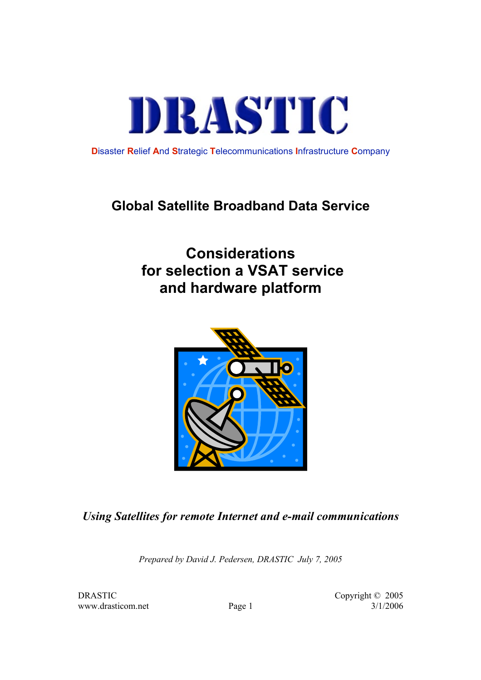

**D**isaster **R**elief **A**nd **S**trategic **T**elecommunications **I**nfrastructure **C**ompany

## **Global Satellite Broadband Data Service**

# **Considerations for selection a VSAT service and hardware platform**



## *Using Satellites for remote Internet and e-mail communications*

*Prepared by David J. Pedersen, DRASTIC July 7, 2005*

www.drasticom.net Page 1 3/1/2006

DRASTIC Copyright © 2005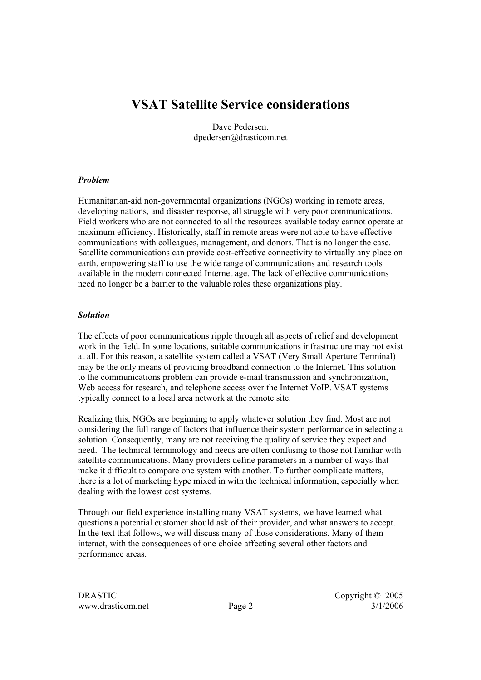## **VSAT Satellite Service considerations**

Dave Pedersen. dpedersen@drasticom.net

#### *Problem*

Humanitarian-aid non-governmental organizations (NGOs) working in remote areas, developing nations, and disaster response, all struggle with very poor communications. Field workers who are not connected to all the resources available today cannot operate at maximum efficiency. Historically, staff in remote areas were not able to have effective communications with colleagues, management, and donors. That is no longer the case. Satellite communications can provide cost-effective connectivity to virtually any place on earth, empowering staff to use the wide range of communications and research tools available in the modern connected Internet age. The lack of effective communications need no longer be a barrier to the valuable roles these organizations play.

#### *Solution*

The effects of poor communications ripple through all aspects of relief and development work in the field. In some locations, suitable communications infrastructure may not exist at all. For this reason, a satellite system called a VSAT (Very Small Aperture Terminal) may be the only means of providing broadband connection to the Internet. This solution to the communications problem can provide e-mail transmission and synchronization, Web access for research, and telephone access over the Internet VoIP. VSAT systems typically connect to a local area network at the remote site.

Realizing this, NGOs are beginning to apply whatever solution they find. Most are not considering the full range of factors that influence their system performance in selecting a solution. Consequently, many are not receiving the quality of service they expect and need. The technical terminology and needs are often confusing to those not familiar with satellite communications. Many providers define parameters in a number of ways that make it difficult to compare one system with another. To further complicate matters, there is a lot of marketing hype mixed in with the technical information, especially when dealing with the lowest cost systems.

Through our field experience installing many VSAT systems, we have learned what questions a potential customer should ask of their provider, and what answers to accept. In the text that follows, we will discuss many of those considerations. Many of them interact, with the consequences of one choice affecting several other factors and performance areas.

DRASTIC Copyright © 2005 www.drasticom.net Page 2 3/1/2006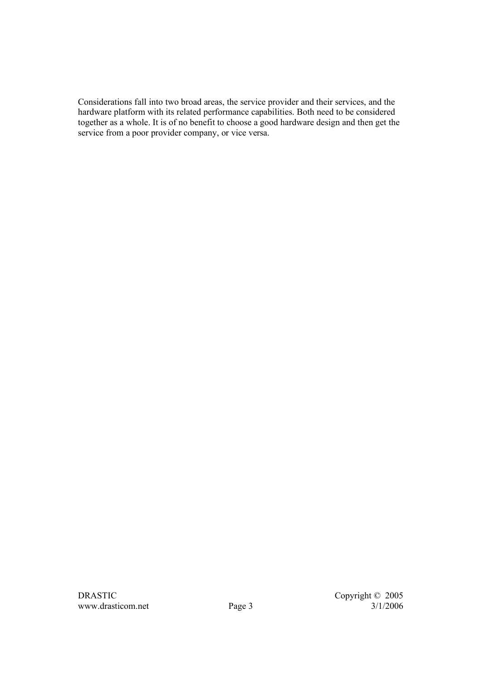Considerations fall into two broad areas, the service provider and their services, and the hardware platform with its related performance capabilities. Both need to be considered together as a whole. It is of no benefit to choose a good hardware design and then get the service from a poor provider company, or vice versa.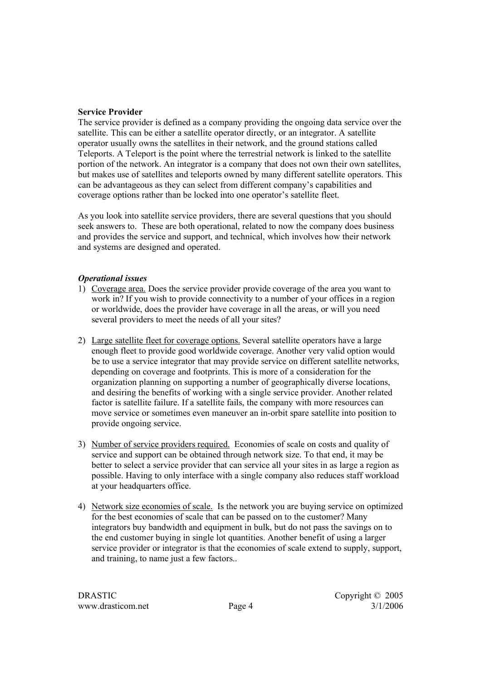#### **Service Provider**

The service provider is defined as a company providing the ongoing data service over the satellite. This can be either a satellite operator directly, or an integrator. A satellite operator usually owns the satellites in their network, and the ground stations called Teleports. A Teleport is the point where the terrestrial network is linked to the satellite portion of the network. An integrator is a company that does not own their own satellites, but makes use of satellites and teleports owned by many different satellite operators. This can be advantageous as they can select from different company's capabilities and coverage options rather than be locked into one operator's satellite fleet.

As you look into satellite service providers, there are several questions that you should seek answers to. These are both operational, related to now the company does business and provides the service and support, and technical, which involves how their network and systems are designed and operated.

#### *Operational issues*

- 1) Coverage area. Does the service provider provide coverage of the area you want to work in? If you wish to provide connectivity to a number of your offices in a region or worldwide, does the provider have coverage in all the areas, or will you need several providers to meet the needs of all your sites?
- 2) Large satellite fleet for coverage options. Several satellite operators have a large enough fleet to provide good worldwide coverage. Another very valid option would be to use a service integrator that may provide service on different satellite networks, depending on coverage and footprints. This is more of a consideration for the organization planning on supporting a number of geographically diverse locations, and desiring the benefits of working with a single service provider. Another related factor is satellite failure. If a satellite fails, the company with more resources can move service or sometimes even maneuver an in-orbit spare satellite into position to provide ongoing service.
- 3) Number of service providers required. Economies of scale on costs and quality of service and support can be obtained through network size. To that end, it may be better to select a service provider that can service all your sites in as large a region as possible. Having to only interface with a single company also reduces staff workload at your headquarters office.
- 4) Network size economies of scale. Is the network you are buying service on optimized for the best economies of scale that can be passed on to the customer? Many integrators buy bandwidth and equipment in bulk, but do not pass the savings on to the end customer buying in single lot quantities. Another benefit of using a larger service provider or integrator is that the economies of scale extend to supply, support, and training, to name just a few factors..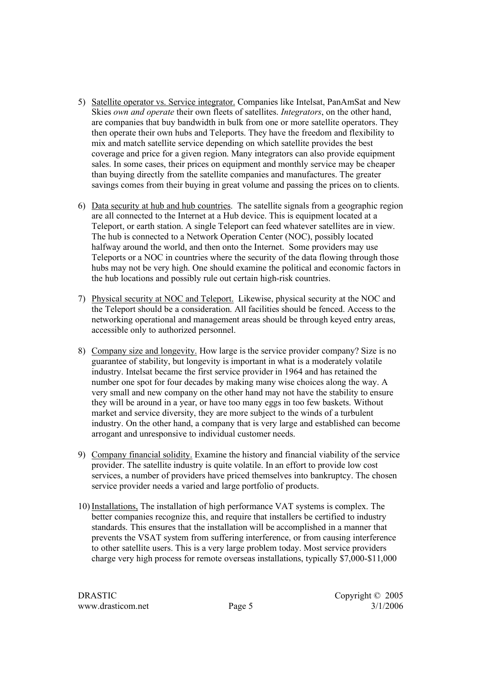- 5) Satellite operator vs. Service integrator. Companies like Intelsat, PanAmSat and New Skies *own and operate* their own fleets of satellites. *Integrators*, on the other hand, are companies that buy bandwidth in bulk from one or more satellite operators. They then operate their own hubs and Teleports. They have the freedom and flexibility to mix and match satellite service depending on which satellite provides the best coverage and price for a given region. Many integrators can also provide equipment sales. In some cases, their prices on equipment and monthly service may be cheaper than buying directly from the satellite companies and manufactures. The greater savings comes from their buying in great volume and passing the prices on to clients.
- 6) Data security at hub and hub countries. The satellite signals from a geographic region are all connected to the Internet at a Hub device. This is equipment located at a Teleport, or earth station. A single Teleport can feed whatever satellites are in view. The hub is connected to a Network Operation Center (NOC), possibly located halfway around the world, and then onto the Internet. Some providers may use Teleports or a NOC in countries where the security of the data flowing through those hubs may not be very high. One should examine the political and economic factors in the hub locations and possibly rule out certain high-risk countries.
- 7) Physical security at NOC and Teleport. Likewise, physical security at the NOC and the Teleport should be a consideration. All facilities should be fenced. Access to the networking operational and management areas should be through keyed entry areas, accessible only to authorized personnel.
- 8) Company size and longevity. How large is the service provider company? Size is no guarantee of stability, but longevity is important in what is a moderately volatile industry. Intelsat became the first service provider in 1964 and has retained the number one spot for four decades by making many wise choices along the way. A very small and new company on the other hand may not have the stability to ensure they will be around in a year, or have too many eggs in too few baskets. Without market and service diversity, they are more subject to the winds of a turbulent industry. On the other hand, a company that is very large and established can become arrogant and unresponsive to individual customer needs.
- 9) Company financial solidity. Examine the history and financial viability of the service provider. The satellite industry is quite volatile. In an effort to provide low cost services, a number of providers have priced themselves into bankruptcy. The chosen service provider needs a varied and large portfolio of products.
- 10) Installations, The installation of high performance VAT systems is complex. The better companies recognize this, and require that installers be certified to industry standards. This ensures that the installation will be accomplished in a manner that prevents the VSAT system from suffering interference, or from causing interference to other satellite users. This is a very large problem today. Most service providers charge very high process for remote overseas installations, typically \$7,000-\$11,000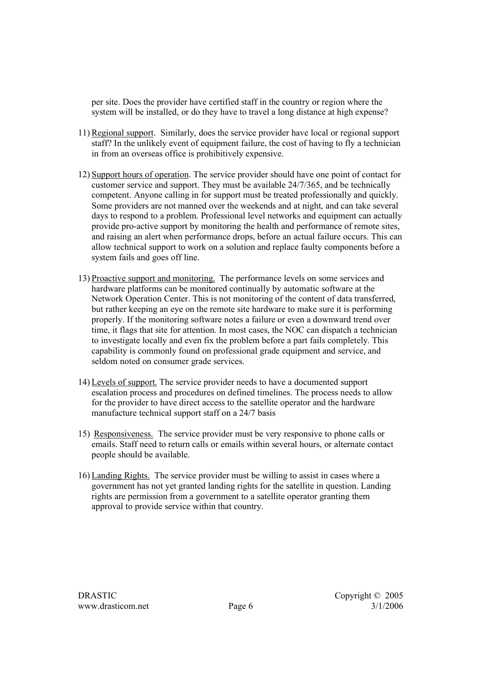per site. Does the provider have certified staff in the country or region where the system will be installed, or do they have to travel a long distance at high expense?

- 11) Regional support. Similarly, does the service provider have local or regional support staff? In the unlikely event of equipment failure, the cost of having to fly a technician in from an overseas office is prohibitively expensive.
- 12) Support hours of operation. The service provider should have one point of contact for customer service and support. They must be available 24/7/365, and be technically competent. Anyone calling in for support must be treated professionally and quickly. Some providers are not manned over the weekends and at night, and can take several days to respond to a problem. Professional level networks and equipment can actually provide pro-active support by monitoring the health and performance of remote sites, and raising an alert when performance drops, before an actual failure occurs. This can allow technical support to work on a solution and replace faulty components before a system fails and goes off line.
- 13) Proactive support and monitoring. The performance levels on some services and hardware platforms can be monitored continually by automatic software at the Network Operation Center. This is not monitoring of the content of data transferred, but rather keeping an eye on the remote site hardware to make sure it is performing properly. If the monitoring software notes a failure or even a downward trend over time, it flags that site for attention. In most cases, the NOC can dispatch a technician to investigate locally and even fix the problem before a part fails completely. This capability is commonly found on professional grade equipment and service, and seldom noted on consumer grade services.
- 14) Levels of support. The service provider needs to have a documented support escalation process and procedures on defined timelines. The process needs to allow for the provider to have direct access to the satellite operator and the hardware manufacture technical support staff on a 24/7 basis
- 15) Responsiveness. The service provider must be very responsive to phone calls or emails. Staff need to return calls or emails within several hours, or alternate contact people should be available.
- 16) Landing Rights. The service provider must be willing to assist in cases where a government has not yet granted landing rights for the satellite in question. Landing rights are permission from a government to a satellite operator granting them approval to provide service within that country.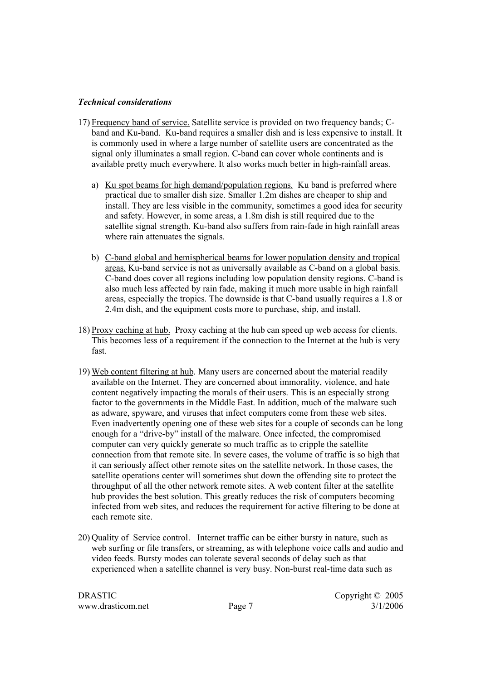#### *Technical considerations*

- 17) Frequency band of service. Satellite service is provided on two frequency bands; Cband and Ku-band. Ku-band requires a smaller dish and is less expensive to install. It is commonly used in where a large number of satellite users are concentrated as the signal only illuminates a small region. C-band can cover whole continents and is available pretty much everywhere. It also works much better in high-rainfall areas.
	- a) Ku spot beams for high demand/population regions. Ku band is preferred where practical due to smaller dish size. Smaller 1.2m dishes are cheaper to ship and install. They are less visible in the community, sometimes a good idea for security and safety. However, in some areas, a 1.8m dish is still required due to the satellite signal strength. Ku-band also suffers from rain-fade in high rainfall areas where rain attenuates the signals.
	- b) C-band global and hemispherical beams for lower population density and tropical areas. Ku-band service is not as universally available as C-band on a global basis. C-band does cover all regions including low population density regions. C-band is also much less affected by rain fade, making it much more usable in high rainfall areas, especially the tropics. The downside is that C-band usually requires a 1.8 or 2.4m dish, and the equipment costs more to purchase, ship, and install.
- 18) Proxy caching at hub. Proxy caching at the hub can speed up web access for clients. This becomes less of a requirement if the connection to the Internet at the hub is very fast.
- 19) Web content filtering at hub. Many users are concerned about the material readily available on the Internet. They are concerned about immorality, violence, and hate content negatively impacting the morals of their users. This is an especially strong factor to the governments in the Middle East. In addition, much of the malware such as adware, spyware, and viruses that infect computers come from these web sites. Even inadvertently opening one of these web sites for a couple of seconds can be long enough for a "drive-by" install of the malware. Once infected, the compromised computer can very quickly generate so much traffic as to cripple the satellite connection from that remote site. In severe cases, the volume of traffic is so high that it can seriously affect other remote sites on the satellite network. In those cases, the satellite operations center will sometimes shut down the offending site to protect the throughput of all the other network remote sites. A web content filter at the satellite hub provides the best solution. This greatly reduces the risk of computers becoming infected from web sites, and reduces the requirement for active filtering to be done at each remote site.
- 20) Quality of Service control. Internet traffic can be either bursty in nature, such as web surfing or file transfers, or streaming, as with telephone voice calls and audio and video feeds. Bursty modes can tolerate several seconds of delay such as that experienced when a satellite channel is very busy. Non-burst real-time data such as

DRASTIC Copyright © 2005 www.drasticom.net Page 7 3/1/2006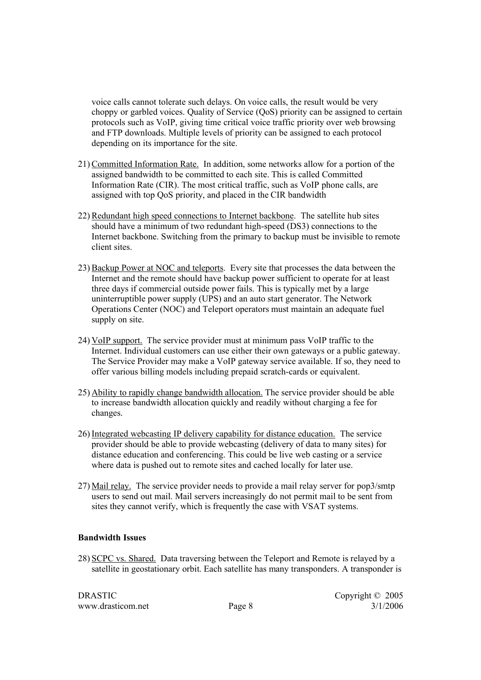voice calls cannot tolerate such delays. On voice calls, the result would be very choppy or garbled voices. Quality of Service (QoS) priority can be assigned to certain protocols such as VoIP, giving time critical voice traffic priority over web browsing and FTP downloads. Multiple levels of priority can be assigned to each protocol depending on its importance for the site.

- 21) Committed Information Rate. In addition, some networks allow for a portion of the assigned bandwidth to be committed to each site. This is called Committed Information Rate (CIR). The most critical traffic, such as VoIP phone calls, are assigned with top QoS priority, and placed in the CIR bandwidth
- 22) Redundant high speed connections to Internet backbone. The satellite hub sites should have a minimum of two redundant high-speed (DS3) connections to the Internet backbone. Switching from the primary to backup must be invisible to remote client sites.
- 23) Backup Power at NOC and teleports. Every site that processes the data between the Internet and the remote should have backup power sufficient to operate for at least three days if commercial outside power fails. This is typically met by a large uninterruptible power supply (UPS) and an auto start generator. The Network Operations Center (NOC) and Teleport operators must maintain an adequate fuel supply on site.
- 24) VoIP support. The service provider must at minimum pass VoIP traffic to the Internet. Individual customers can use either their own gateways or a public gateway. The Service Provider may make a VoIP gateway service available. If so, they need to offer various billing models including prepaid scratch-cards or equivalent.
- 25) Ability to rapidly change bandwidth allocation. The service provider should be able to increase bandwidth allocation quickly and readily without charging a fee for changes.
- 26) Integrated webcasting IP delivery capability for distance education. The service provider should be able to provide webcasting (delivery of data to many sites) for distance education and conferencing. This could be live web casting or a service where data is pushed out to remote sites and cached locally for later use.
- 27) Mail relay. The service provider needs to provide a mail relay server for pop3/smtp users to send out mail. Mail servers increasingly do not permit mail to be sent from sites they cannot verify, which is frequently the case with VSAT systems.

#### **Bandwidth Issues**

28) SCPC vs. Shared. Data traversing between the Teleport and Remote is relayed by a satellite in geostationary orbit. Each satellite has many transponders. A transponder is

DRASTIC Copyright © 2005 www.drasticom.net Page 8 3/1/2006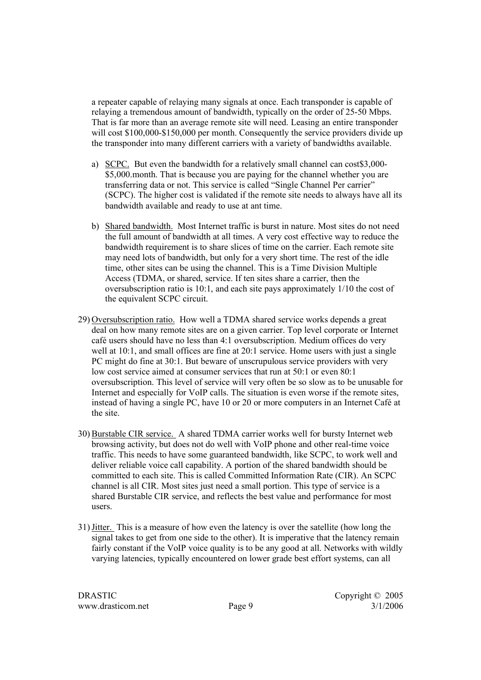a repeater capable of relaying many signals at once. Each transponder is capable of relaying a tremendous amount of bandwidth, typically on the order of 25-50 Mbps. That is far more than an average remote site will need. Leasing an entire transponder will cost \$100,000-\$150,000 per month. Consequently the service providers divide up the transponder into many different carriers with a variety of bandwidths available.

- a) SCPC. But even the bandwidth for a relatively small channel can cost\$3,000- \$5,000.month. That is because you are paying for the channel whether you are transferring data or not. This service is called "Single Channel Per carrier" (SCPC). The higher cost is validated if the remote site needs to always have all its bandwidth available and ready to use at ant time.
- b) Shared bandwidth. Most Internet traffic is burst in nature. Most sites do not need the full amount of bandwidth at all times. A very cost effective way to reduce the bandwidth requirement is to share slices of time on the carrier. Each remote site may need lots of bandwidth, but only for a very short time. The rest of the idle time, other sites can be using the channel. This is a Time Division Multiple Access (TDMA, or shared, service. If ten sites share a carrier, then the oversubscription ratio is 10:1, and each site pays approximately 1/10 the cost of the equivalent SCPC circuit.
- 29) Oversubscription ratio. How well a TDMA shared service works depends a great deal on how many remote sites are on a given carrier. Top level corporate or Internet café users should have no less than 4:1 oversubscription. Medium offices do very well at 10:1, and small offices are fine at 20:1 service. Home users with just a single PC might do fine at 30:1. But beware of unscrupulous service providers with very low cost service aimed at consumer services that run at 50:1 or even 80:1 oversubscription. This level of service will very often be so slow as to be unusable for Internet and especially for VoIP calls. The situation is even worse if the remote sites, instead of having a single PC, have 10 or 20 or more computers in an Internet Café at the site.
- 30) Burstable CIR service. A shared TDMA carrier works well for bursty Internet web browsing activity, but does not do well with VoIP phone and other real-time voice traffic. This needs to have some guaranteed bandwidth, like SCPC, to work well and deliver reliable voice call capability. A portion of the shared bandwidth should be committed to each site. This is called Committed Information Rate (CIR). An SCPC channel is all CIR. Most sites just need a small portion. This type of service is a shared Burstable CIR service, and reflects the best value and performance for most users.
- 31)Jitter. This is a measure of how even the latency is over the satellite (how long the signal takes to get from one side to the other). It is imperative that the latency remain fairly constant if the VoIP voice quality is to be any good at all. Networks with wildly varying latencies, typically encountered on lower grade best effort systems, can all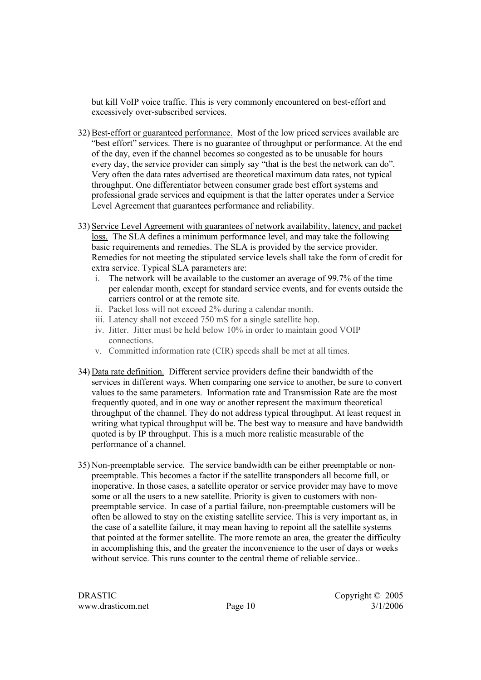but kill VoIP voice traffic. This is very commonly encountered on best-effort and excessively over-subscribed services.

- 32) Best-effort or guaranteed performance. Most of the low priced services available are "best effort" services. There is no guarantee of throughput or performance. At the end of the day, even if the channel becomes so congested as to be unusable for hours every day, the service provider can simply say "that is the best the network can do". Very often the data rates advertised are theoretical maximum data rates, not typical throughput. One differentiator between consumer grade best effort systems and professional grade services and equipment is that the latter operates under a Service Level Agreement that guarantees performance and reliability.
- 33) Service Level Agreement with guarantees of network availability, latency, and packet loss. The SLA defines a minimum performance level, and may take the following basic requirements and remedies. The SLA is provided by the service provider. Remedies for not meeting the stipulated service levels shall take the form of credit for extra service. Typical SLA parameters are:
	- i. The network will be available to the customer an average of 99.7% of the time per calendar month, except for standard service events, and for events outside the carriers control or at the remote site.
	- ii. Packet loss will not exceed 2% during a calendar month.
	- iii. Latency shall not exceed 750 mS for a single satellite hop.
	- iv. Jitter. Jitter must be held below 10% in order to maintain good VOIP connections.
	- v. Committed information rate (CIR) speeds shall be met at all times.
- 34) Data rate definition. Different service providers define their bandwidth of the services in different ways. When comparing one service to another, be sure to convert values to the same parameters. Information rate and Transmission Rate are the most frequently quoted, and in one way or another represent the maximum theoretical throughput of the channel. They do not address typical throughput. At least request in writing what typical throughput will be. The best way to measure and have bandwidth quoted is by IP throughput. This is a much more realistic measurable of the performance of a channel.
- 35) Non-preemptable service. The service bandwidth can be either preemptable or nonpreemptable. This becomes a factor if the satellite transponders all become full, or inoperative. In those cases, a satellite operator or service provider may have to move some or all the users to a new satellite. Priority is given to customers with nonpreemptable service. In case of a partial failure, non-preemptable customers will be often be allowed to stay on the existing satellite service. This is very important as, in the case of a satellite failure, it may mean having to repoint all the satellite systems that pointed at the former satellite. The more remote an area, the greater the difficulty in accomplishing this, and the greater the inconvenience to the user of days or weeks without service. This runs counter to the central theme of reliable service..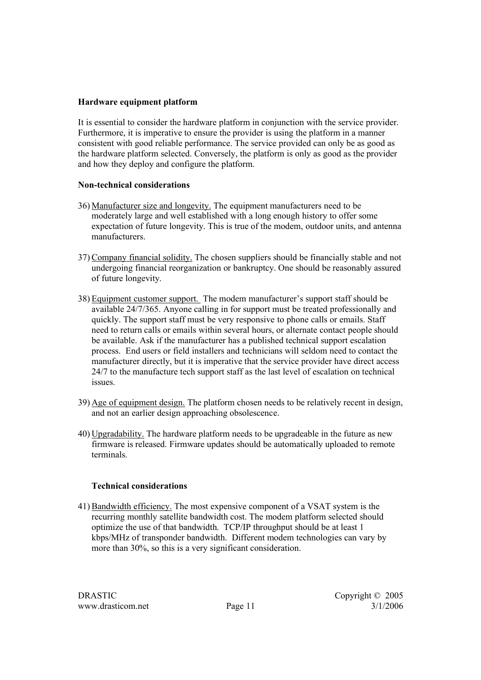#### **Hardware equipment platform**

It is essential to consider the hardware platform in conjunction with the service provider. Furthermore, it is imperative to ensure the provider is using the platform in a manner consistent with good reliable performance. The service provided can only be as good as the hardware platform selected. Conversely, the platform is only as good as the provider and how they deploy and configure the platform.

#### **Non-technical considerations**

- 36) Manufacturer size and longevity. The equipment manufacturers need to be moderately large and well established with a long enough history to offer some expectation of future longevity. This is true of the modem, outdoor units, and antenna manufacturers.
- 37) Company financial solidity. The chosen suppliers should be financially stable and not undergoing financial reorganization or bankruptcy. One should be reasonably assured of future longevity.
- 38) Equipment customer support. The modem manufacturer's support staff should be available 24/7/365. Anyone calling in for support must be treated professionally and quickly. The support staff must be very responsive to phone calls or emails. Staff need to return calls or emails within several hours, or alternate contact people should be available. Ask if the manufacturer has a published technical support escalation process. End users or field installers and technicians will seldom need to contact the manufacturer directly, but it is imperative that the service provider have direct access 24/7 to the manufacture tech support staff as the last level of escalation on technical issues.
- 39) Age of equipment design. The platform chosen needs to be relatively recent in design, and not an earlier design approaching obsolescence.
- 40) Upgradability. The hardware platform needs to be upgradeable in the future as new firmware is released. Firmware updates should be automatically uploaded to remote terminals.

#### **Technical considerations**

41) Bandwidth efficiency. The most expensive component of a VSAT system is the recurring monthly satellite bandwidth cost. The modem platform selected should optimize the use of that bandwidth. TCP/IP throughput should be at least 1 kbps/MHz of transponder bandwidth. Different modem technologies can vary by more than 30%, so this is a very significant consideration.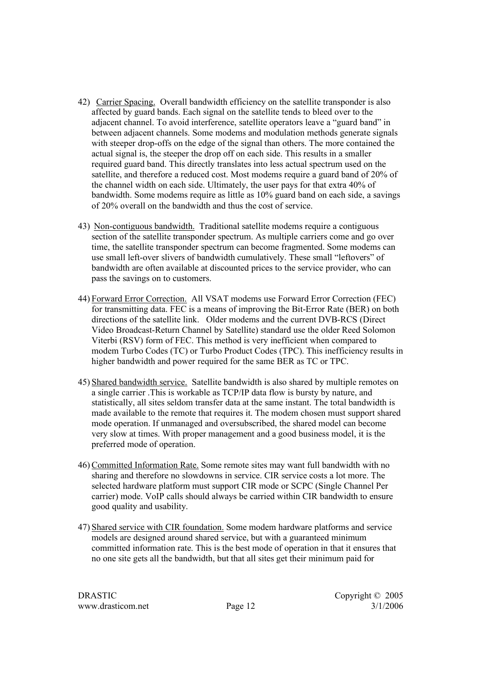- 42) Carrier Spacing. Overall bandwidth efficiency on the satellite transponder is also affected by guard bands. Each signal on the satellite tends to bleed over to the adjacent channel. To avoid interference, satellite operators leave a "guard band" in between adjacent channels. Some modems and modulation methods generate signals with steeper drop-offs on the edge of the signal than others. The more contained the actual signal is, the steeper the drop off on each side. This results in a smaller required guard band. This directly translates into less actual spectrum used on the satellite, and therefore a reduced cost. Most modems require a guard band of 20% of the channel width on each side. Ultimately, the user pays for that extra 40% of bandwidth. Some modems require as little as 10% guard band on each side, a savings of 20% overall on the bandwidth and thus the cost of service.
- 43) Non-contiguous bandwidth. Traditional satellite modems require a contiguous section of the satellite transponder spectrum. As multiple carriers come and go over time, the satellite transponder spectrum can become fragmented. Some modems can use small left-over slivers of bandwidth cumulatively. These small "leftovers" of bandwidth are often available at discounted prices to the service provider, who can pass the savings on to customers.
- 44) Forward Error Correction. All VSAT modems use Forward Error Correction (FEC) for transmitting data. FEC is a means of improving the Bit-Error Rate (BER) on both directions of the satellite link. Older modems and the current DVB-RCS (Direct Video Broadcast-Return Channel by Satellite) standard use the older Reed Solomon Viterbi (RSV) form of FEC. This method is very inefficient when compared to modem Turbo Codes (TC) or Turbo Product Codes (TPC). This inefficiency results in higher bandwidth and power required for the same BER as TC or TPC.
- 45) Shared bandwidth service. Satellite bandwidth is also shared by multiple remotes on a single carrier .This is workable as TCP/IP data flow is bursty by nature, and statistically, all sites seldom transfer data at the same instant. The total bandwidth is made available to the remote that requires it. The modem chosen must support shared mode operation. If unmanaged and oversubscribed, the shared model can become very slow at times. With proper management and a good business model, it is the preferred mode of operation.
- 46) Committed Information Rate. Some remote sites may want full bandwidth with no sharing and therefore no slowdowns in service. CIR service costs a lot more. The selected hardware platform must support CIR mode or SCPC (Single Channel Per carrier) mode. VoIP calls should always be carried within CIR bandwidth to ensure good quality and usability.
- 47) Shared service with CIR foundation. Some modem hardware platforms and service models are designed around shared service, but with a guaranteed minimum committed information rate. This is the best mode of operation in that it ensures that no one site gets all the bandwidth, but that all sites get their minimum paid for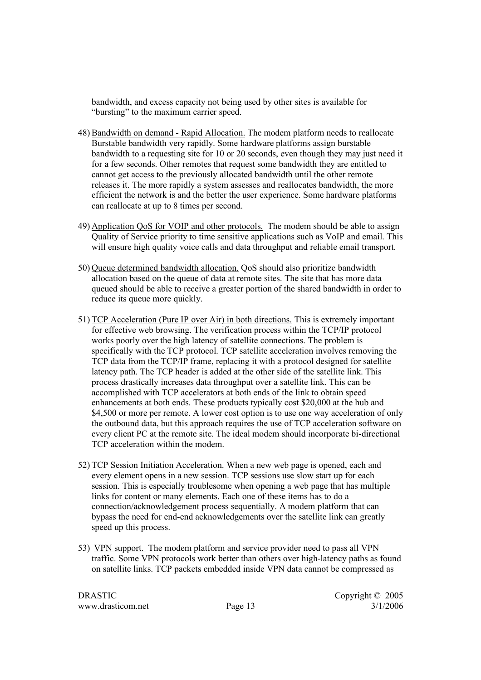bandwidth, and excess capacity not being used by other sites is available for "bursting" to the maximum carrier speed.

- 48) Bandwidth on demand Rapid Allocation. The modem platform needs to reallocate Burstable bandwidth very rapidly. Some hardware platforms assign burstable bandwidth to a requesting site for 10 or 20 seconds, even though they may just need it for a few seconds. Other remotes that request some bandwidth they are entitled to cannot get access to the previously allocated bandwidth until the other remote releases it. The more rapidly a system assesses and reallocates bandwidth, the more efficient the network is and the better the user experience. Some hardware platforms can reallocate at up to 8 times per second.
- 49) Application QoS for VOIP and other protocols. The modem should be able to assign Quality of Service priority to time sensitive applications such as VoIP and email. This will ensure high quality voice calls and data throughput and reliable email transport.
- 50) Queue determined bandwidth allocation. QoS should also prioritize bandwidth allocation based on the queue of data at remote sites. The site that has more data queued should be able to receive a greater portion of the shared bandwidth in order to reduce its queue more quickly.
- 51) TCP Acceleration (Pure IP over Air) in both directions. This is extremely important for effective web browsing. The verification process within the TCP/IP protocol works poorly over the high latency of satellite connections. The problem is specifically with the TCP protocol. TCP satellite acceleration involves removing the TCP data from the TCP/IP frame, replacing it with a protocol designed for satellite latency path. The TCP header is added at the other side of the satellite link. This process drastically increases data throughput over a satellite link. This can be accomplished with TCP accelerators at both ends of the link to obtain speed enhancements at both ends. These products typically cost \$20,000 at the hub and \$4,500 or more per remote. A lower cost option is to use one way acceleration of only the outbound data, but this approach requires the use of TCP acceleration software on every client PC at the remote site. The ideal modem should incorporate bi-directional TCP acceleration within the modem.
- 52) TCP Session Initiation Acceleration. When a new web page is opened, each and every element opens in a new session. TCP sessions use slow start up for each session. This is especially troublesome when opening a web page that has multiple links for content or many elements. Each one of these items has to do a connection/acknowledgement process sequentially. A modem platform that can bypass the need for end-end acknowledgements over the satellite link can greatly speed up this process.
- 53) VPN support. The modem platform and service provider need to pass all VPN traffic. Some VPN protocols work better than others over high-latency paths as found on satellite links. TCP packets embedded inside VPN data cannot be compressed as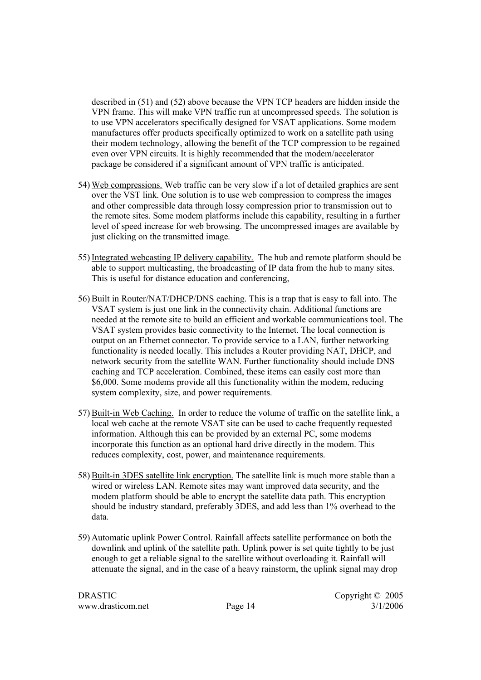described in (51) and (52) above because the VPN TCP headers are hidden inside the VPN frame. This will make VPN traffic run at uncompressed speeds. The solution is to use VPN accelerators specifically designed for VSAT applications. Some modem manufactures offer products specifically optimized to work on a satellite path using their modem technology, allowing the benefit of the TCP compression to be regained even over VPN circuits. It is highly recommended that the modem/accelerator package be considered if a significant amount of VPN traffic is anticipated.

- 54) Web compressions. Web traffic can be very slow if a lot of detailed graphics are sent over the VST link. One solution is to use web compression to compress the images and other compressible data through lossy compression prior to transmission out to the remote sites. Some modem platforms include this capability, resulting in a further level of speed increase for web browsing. The uncompressed images are available by just clicking on the transmitted image.
- 55) Integrated webcasting IP delivery capability. The hub and remote platform should be able to support multicasting, the broadcasting of IP data from the hub to many sites. This is useful for distance education and conferencing,
- 56) Built in Router/NAT/DHCP/DNS caching. This is a trap that is easy to fall into. The VSAT system is just one link in the connectivity chain. Additional functions are needed at the remote site to build an efficient and workable communications tool. The VSAT system provides basic connectivity to the Internet. The local connection is output on an Ethernet connector. To provide service to a LAN, further networking functionality is needed locally. This includes a Router providing NAT, DHCP, and network security from the satellite WAN. Further functionality should include DNS caching and TCP acceleration. Combined, these items can easily cost more than \$6,000. Some modems provide all this functionality within the modem, reducing system complexity, size, and power requirements.
- 57) Built-in Web Caching. In order to reduce the volume of traffic on the satellite link, a local web cache at the remote VSAT site can be used to cache frequently requested information. Although this can be provided by an external PC, some modems incorporate this function as an optional hard drive directly in the modem. This reduces complexity, cost, power, and maintenance requirements.
- 58) Built-in 3DES satellite link encryption. The satellite link is much more stable than a wired or wireless LAN. Remote sites may want improved data security, and the modem platform should be able to encrypt the satellite data path. This encryption should be industry standard, preferably 3DES, and add less than 1% overhead to the data.
- 59) Automatic uplink Power Control. Rainfall affects satellite performance on both the downlink and uplink of the satellite path. Uplink power is set quite tightly to be just enough to get a reliable signal to the satellite without overloading it. Rainfall will attenuate the signal, and in the case of a heavy rainstorm, the uplink signal may drop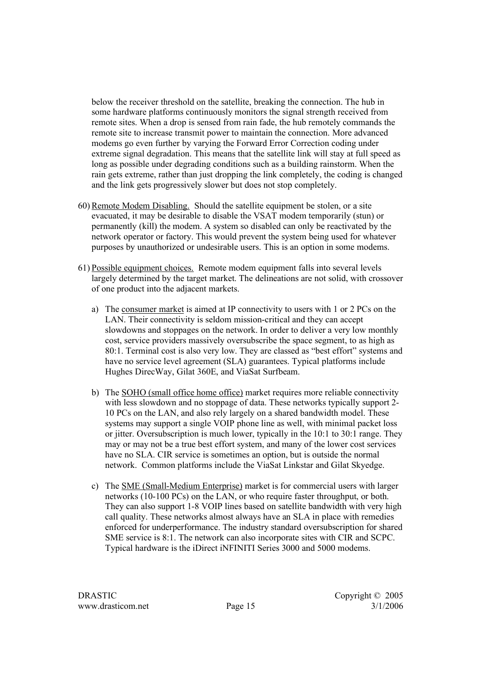below the receiver threshold on the satellite, breaking the connection. The hub in some hardware platforms continuously monitors the signal strength received from remote sites. When a drop is sensed from rain fade, the hub remotely commands the remote site to increase transmit power to maintain the connection. More advanced modems go even further by varying the Forward Error Correction coding under extreme signal degradation. This means that the satellite link will stay at full speed as long as possible under degrading conditions such as a building rainstorm. When the rain gets extreme, rather than just dropping the link completely, the coding is changed and the link gets progressively slower but does not stop completely.

- 60) Remote Modem Disabling. Should the satellite equipment be stolen, or a site evacuated, it may be desirable to disable the VSAT modem temporarily (stun) or permanently (kill) the modem. A system so disabled can only be reactivated by the network operator or factory. This would prevent the system being used for whatever purposes by unauthorized or undesirable users. This is an option in some modems.
- 61) Possible equipment choices. Remote modem equipment falls into several levels largely determined by the target market. The delineations are not solid, with crossover of one product into the adjacent markets.
	- a) The consumer market is aimed at IP connectivity to users with 1 or 2 PCs on the LAN. Their connectivity is seldom mission-critical and they can accept slowdowns and stoppages on the network. In order to deliver a very low monthly cost, service providers massively oversubscribe the space segment, to as high as 80:1. Terminal cost is also very low. They are classed as "best effort" systems and have no service level agreement (SLA) guarantees. Typical platforms include Hughes DirecWay, Gilat 360E, and ViaSat Surfbeam.
	- b) The SOHO (small office home office) market requires more reliable connectivity with less slowdown and no stoppage of data. These networks typically support 2-10 PCs on the LAN, and also rely largely on a shared bandwidth model. These systems may support a single VOIP phone line as well, with minimal packet loss or jitter. Oversubscription is much lower, typically in the 10:1 to 30:1 range. They may or may not be a true best effort system, and many of the lower cost services have no SLA. CIR service is sometimes an option, but is outside the normal network. Common platforms include the ViaSat Linkstar and Gilat Skyedge.
	- c) The SME (Small-Medium Enterprise) market is for commercial users with larger networks (10-100 PCs) on the LAN, or who require faster throughput, or both. They can also support 1-8 VOIP lines based on satellite bandwidth with very high call quality. These networks almost always have an SLA in place with remedies enforced for underperformance. The industry standard oversubscription for shared SME service is 8:1. The network can also incorporate sites with CIR and SCPC. Typical hardware is the iDirect iNFINITI Series 3000 and 5000 modems.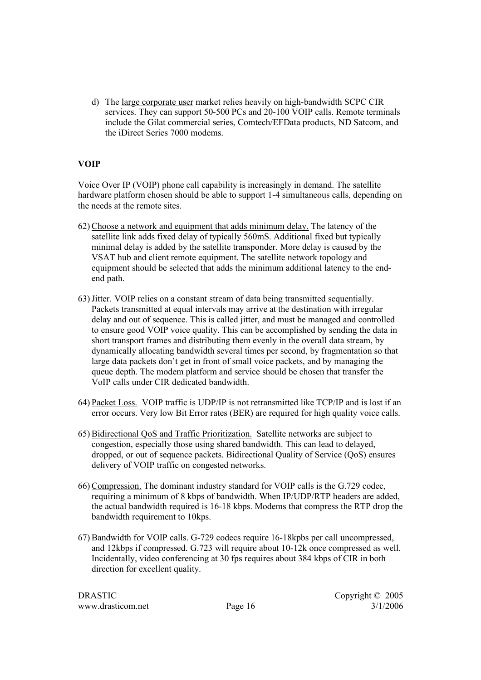d) The large corporate user market relies heavily on high-bandwidth SCPC CIR services. They can support 50-500 PCs and 20-100 VOIP calls. Remote terminals include the Gilat commercial series, Comtech/EFData products, ND Satcom, and the iDirect Series 7000 modems.

#### **VOIP**

Voice Over IP (VOIP) phone call capability is increasingly in demand. The satellite hardware platform chosen should be able to support 1-4 simultaneous calls, depending on the needs at the remote sites.

- 62) Choose a network and equipment that adds minimum delay. The latency of the satellite link adds fixed delay of typically 560mS. Additional fixed but typically minimal delay is added by the satellite transponder. More delay is caused by the VSAT hub and client remote equipment. The satellite network topology and equipment should be selected that adds the minimum additional latency to the endend path.
- 63)Jitter. VOIP relies on a constant stream of data being transmitted sequentially. Packets transmitted at equal intervals may arrive at the destination with irregular delay and out of sequence. This is called jitter, and must be managed and controlled to ensure good VOIP voice quality. This can be accomplished by sending the data in short transport frames and distributing them evenly in the overall data stream, by dynamically allocating bandwidth several times per second, by fragmentation so that large data packets don't get in front of small voice packets, and by managing the queue depth. The modem platform and service should be chosen that transfer the VoIP calls under CIR dedicated bandwidth.
- 64) Packet Loss. VOIP traffic is UDP/IP is not retransmitted like TCP/IP and is lost if an error occurs. Very low Bit Error rates (BER) are required for high quality voice calls.
- 65) Bidirectional QoS and Traffic Prioritization. Satellite networks are subject to congestion, especially those using shared bandwidth. This can lead to delayed, dropped, or out of sequence packets. Bidirectional Quality of Service (QoS) ensures delivery of VOIP traffic on congested networks.
- 66) Compression. The dominant industry standard for VOIP calls is the G.729 codec, requiring a minimum of 8 kbps of bandwidth. When IP/UDP/RTP headers are added, the actual bandwidth required is 16-18 kbps. Modems that compress the RTP drop the bandwidth requirement to 10kps.
- 67) Bandwidth for VOIP calls. G-729 codecs require 16-18kpbs per call uncompressed, and 12kbps if compressed. G.723 will require about 10-12k once compressed as well. Incidentally, video conferencing at 30 fps requires about 384 kbps of CIR in both direction for excellent quality.